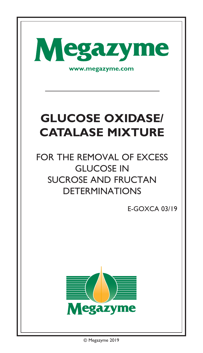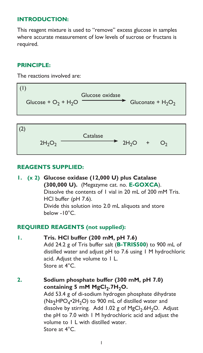# **INTRODUCTION:**

This reagent mixture is used to "remove" excess glucose in samples where accurate measurement of low levels of sucrose or fructans is required.

### **PRINCIPLE:**

The reactions involved are:

$$
\begin{array}{|l|}\n\hline\n\end{array}\n\left(\text{glucose } + \text{O}_2 + \text{H}_2\text{O} \xrightarrow{\text{Glucose oxidase}} \text{Gluconate } + \text{H}_2\text{O}_2\n\end{array}
$$

$$
\begin{array}{cccc}\n\text{(2)} & & \text{Catalase} \\
& 2H_2O_2 & \xrightarrow{\text{Catalase}} & 2H_2O + O_2\n\end{array}
$$

# **REAGENTS SUPPLIED:**

**1. (x 2) Glucose oxidase (12,000 U) plus Catalase (300,000 U).** (Megazyme cat. no. **[E-GOXCA](https://www.megazyme.com/glucose-oxidase-catalase-mixture-eukaryote)**). Dissolve the contents of 1 vial in 20 mL of 200 mM Tris. HCl buffer (pH 7.6). Divide this solution into 2.0 mL aliquots and store below -10°C.

#### **REQUIRED REAGENTS (not supplied):**

**1. Tris. HCl buffer (200 mM, pH 7.6)** Add 24.2 g of Tris buffer salt (**[B-TRIS500](https://www.megazyme.com/tris-buffer-salt)**) to 900 mL of distilled water and adjust pH to 7.6 using 1 M hydrochloric acid. Adjust the volume to 1 L. Store at  $4^{\circ}$ C.

# **2. Sodium phosphate buffer (300 mM, pH 7.0)**  containing 5 mM MgCl<sub>2</sub>.7H<sub>2</sub>O. Add 53.4 g of di-sodium hydrogen phosphate dihydrate (Na<sub>2</sub>HPO<sub>4</sub>•2H<sub>2</sub>O) to 900 mL of distilled water and dissolve by stirring. Add 1.02 g of MgCl<sub>2</sub>.6H<sub>2</sub>O. Adjust the pH to 7.0 with 1 M hydrochloric acid and adjust the volume to 1 L with distilled water. Store at 4°C.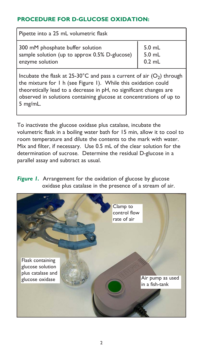# **PROCEDURE FOR D-GLUCOSE OXIDATION:**

| Pipette into a 25 mL volumetric flask                                                                   |                              |
|---------------------------------------------------------------------------------------------------------|------------------------------|
| 300 mM phosphate buffer solution<br>sample solution (up to approx $0.5\%$ D-glucose)<br>enzyme solution | 5.0 mL<br>5.0 mL<br>$0.2$ mL |
|                                                                                                         |                              |

Incubate the flask at 25-30°C and pass a current of air  $(O_2)$  through the mixture for 1 h (see Figure 1). While this oxidation could theoretically lead to a decrease in pH, no significant changes are observed in solutions containing glucose at concentrations of up to 5 mg/mL.

To inactivate the glucose oxidase plus catalase, incubate the volumetric flask in a boiling water bath for 15 min, allow it to cool to room temperature and dilute the contents to the mark with water. Mix and filter, if necessary. Use 0.5 mL of the clear solution for the determination of sucrose. Determine the residual D-glucose in a parallel assay and subtract as usual.

*Figure 1.* Arrangement for the oxidation of glucose by glucose oxidase plus catalase in the presence of a stream of air.